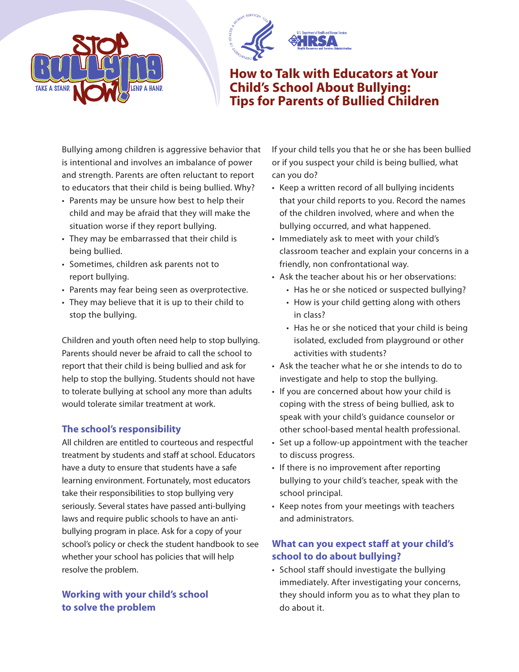



**How to Talk with Educators at Your Child's School About Bullying: Tips for Parents of Bullied Children**

Bullying among children is aggressive behavior that is intentional and involves an imbalance of power and strength. Parents are often reluctant to report to educators that their child is being bullied. Why?

- Parents may be unsure how best to help their child and may be afraid that they will make the situation worse if they report bullying.
- They may be embarrassed that their child is being bullied.
- Sometimes, children ask parents not to report bullying.
- Parents may fear being seen as overprotective.
- They may believe that it is up to their child to stop the bullying.

Children and youth often need help to stop bullying. Parents should never be afraid to call the school to report that their child is being bullied and ask for help to stop the bullying. Students should not have to tolerate bullying at school any more than adults would tolerate similar treatment at work.

## **The school's responsibility**

All children are entitled to courteous and respectful treatment by students and staff at school. Educators have a duty to ensure that students have a safe learning environment. Fortunately, most educators take their responsibilities to stop bullying very seriously. Several states have passed anti-bullying laws and require public schools to have an antibullying program in place. Ask for a copy of your school's policy or check the student handbook to see whether your school has policies that will help resolve the problem.

### **Working with your child's school to solve the problem**

If your child tells you that he or she has been bullied or if you suspect your child is being bullied, what can you do?

- Keep a written record of all bullying incidents that your child reports to you. Record the names of the children involved, where and when the bullying occurred, and what happened.
- Immediately ask to meet with your child's classroom teacher and explain your concerns in a friendly, non confrontational way.
- Ask the teacher about his or her observations:
	- Has he or she noticed or suspected bullying?
	- How is your child getting along with others in class?
	- Has he or she noticed that your child is being isolated, excluded from playground or other activities with students?
- Ask the teacher what he or she intends to do to investigate and help to stop the bullying.
- If you are concerned about how your child is coping with the stress of being bullied, ask to speak with your child's guidance counselor or other school-based mental health professional.
- Set up a follow-up appointment with the teacher to discuss progress.
- If there is no improvement after reporting bullying to your child's teacher, speak with the school principal.
- Keep notes from your meetings with teachers and administrators.

# **What can you expect staff at your child's school to do about bullying?**

• School staff should investigate the bullying immediately. After investigating your concerns, they should inform you as to what they plan to do about it.